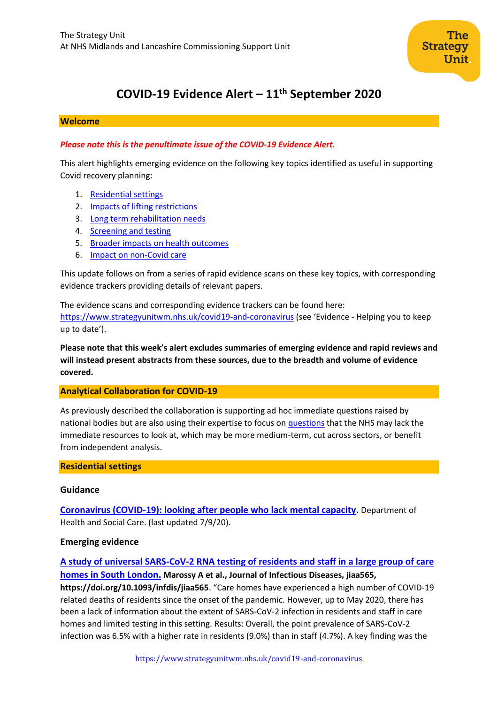

# **COVID-19 Evidence Alert – 11th September 2020**

#### **Welcome**

### *Please note this is the penultimate issue of the COVID-19 Evidence Alert.*

This alert highlights emerging evidence on the following key topics identified as useful in supporting Covid recovery planning:

- 1. [Residential settings](#page-0-0)
- 2. Impacts of lifting restrictions
- 3. Long term rehabilitation needs
- 4. Screening and testing
- 5. Broader impacts on health outcomes
- 6. Impact on non-Covid care

This update follows on from a series of rapid evidence scans on these key topics, with corresponding evidence trackers providing details of relevant papers.

The evidence scans and corresponding evidence trackers can be found here: <https://www.strategyunitwm.nhs.uk/covid19-and-coronavirus> (see 'Evidence - Helping you to keep up to date').

**Please note that this week's alert excludes summaries of emerging evidence and rapid reviews and will instead present abstracts from these sources, due to the breadth and volume of evidence covered.**

#### **Analytical Collaboration for COVID-19**

As previously described the collaboration is supporting ad hoc immediate questions raised by national bodies but are also using their expertise to focus on [questions](https://www.strategyunitwm.nhs.uk/sites/default/files/2020-05/Covid%20Collaboration%20Summaries_0.pdf) that the NHS may lack the immediate resources to look at, which may be more medium-term, cut across sectors, or benefit from independent analysis.

#### <span id="page-0-0"></span>**Residential settings**

#### **Guidance**

**[Coronavirus \(COVID-19\): looking after people who lack mental capacity.](https://www.gov.uk/government/publications/coronavirus-covid-19-looking-after-people-who-lack-mental-capacity)** Department of Health and Social Care. (last updated 7/9/20).

# **Emerging evidence**

# **[A study of universal SARS-CoV-2 RNA testing of residents and staff in a large group of care](https://academic.oup.com/jid/advance-article/doi/10.1093/infdis/jiaa565/5901911)**

**[homes in South London.](https://academic.oup.com/jid/advance-article/doi/10.1093/infdis/jiaa565/5901911) Marossy A et al., Journal of Infectious Diseases, jiaa565, https://doi.org/10.1093/infdis/jiaa565**. "Care homes have experienced a high number of COVID-19 related deaths of residents since the onset of the pandemic. However, up to May 2020, there has been a lack of information about the extent of SARS-CoV-2 infection in residents and staff in care homes and limited testing in this setting. Results: Overall, the point prevalence of SARS-CoV-2 infection was 6.5% with a higher rate in residents (9.0%) than in staff (4.7%). A key finding was the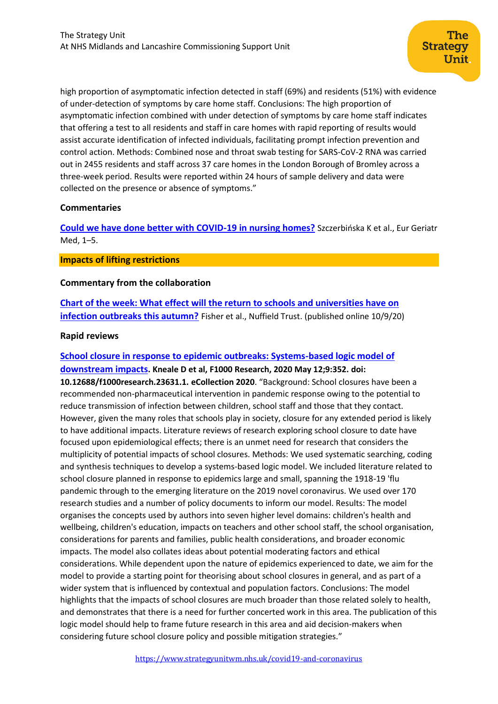high proportion of asymptomatic infection detected in staff (69%) and residents (51%) with evidence of under-detection of symptoms by care home staff. Conclusions: The high proportion of asymptomatic infection combined with under detection of symptoms by care home staff indicates that offering a test to all residents and staff in care homes with rapid reporting of results would assist accurate identification of infected individuals, facilitating prompt infection prevention and control action. Methods: Combined nose and throat swab testing for SARS-CoV-2 RNA was carried out in 2455 residents and staff across 37 care homes in the London Borough of Bromley across a three-week period. Results were reported within 24 hours of sample delivery and data were collected on the presence or absence of symptoms."

### **Commentaries**

**[Could we have done better with COVID-19 in nursing homes?](https://www.ncbi.nlm.nih.gov/pmc/articles/PMC7364743/)** Szczerbińska K et al., Eur Geriatr Med, 1–5.

#### **Impacts of lifting restrictions**

### **Commentary from the collaboration**

**[Chart of the week: What effect will the return to schools and universities have on](https://www.nuffieldtrust.org.uk/resource/chart-of-the-week-what-effect-will-the-return-to-schools-and-universities-have-on-infection-outbreaks-this-autumn)  [infection outbreaks this autumn?](https://www.nuffieldtrust.org.uk/resource/chart-of-the-week-what-effect-will-the-return-to-schools-and-universities-have-on-infection-outbreaks-this-autumn)** Fisher et al., Nuffield Trust. (published online 10/9/20)

### **Rapid reviews**

# **[School closure in response to epidemic outbreaks: Systems-based logic model of](https://www.ncbi.nlm.nih.gov/pmc/articles/PMC7445561/)**

**[downstream impacts](https://www.ncbi.nlm.nih.gov/pmc/articles/PMC7445561/). Kneale D et al, F1000 Research, 2020 May 12;9:352. doi: 10.12688/f1000research.23631.1. eCollection 2020**. "Background: School closures have been a recommended non-pharmaceutical intervention in pandemic response owing to the potential to reduce transmission of infection between children, school staff and those that they contact. However, given the many roles that schools play in society, closure for any extended period is likely to have additional impacts. Literature reviews of research exploring school closure to date have focused upon epidemiological effects; there is an unmet need for research that considers the multiplicity of potential impacts of school closures. Methods: We used systematic searching, coding and synthesis techniques to develop a systems-based logic model. We included literature related to school closure planned in response to epidemics large and small, spanning the 1918-19 'flu pandemic through to the emerging literature on the 2019 novel coronavirus. We used over 170 research studies and a number of policy documents to inform our model. Results: The model organises the concepts used by authors into seven higher level domains: children's health and wellbeing, children's education, impacts on teachers and other school staff, the school organisation, considerations for parents and families, public health considerations, and broader economic impacts. The model also collates ideas about potential moderating factors and ethical considerations. While dependent upon the nature of epidemics experienced to date, we aim for the model to provide a starting point for theorising about school closures in general, and as part of a wider system that is influenced by contextual and population factors. Conclusions: The model highlights that the impacts of school closures are much broader than those related solely to health, and demonstrates that there is a need for further concerted work in this area. The publication of this logic model should help to frame future research in this area and aid decision-makers when considering future school closure policy and possible mitigation strategies."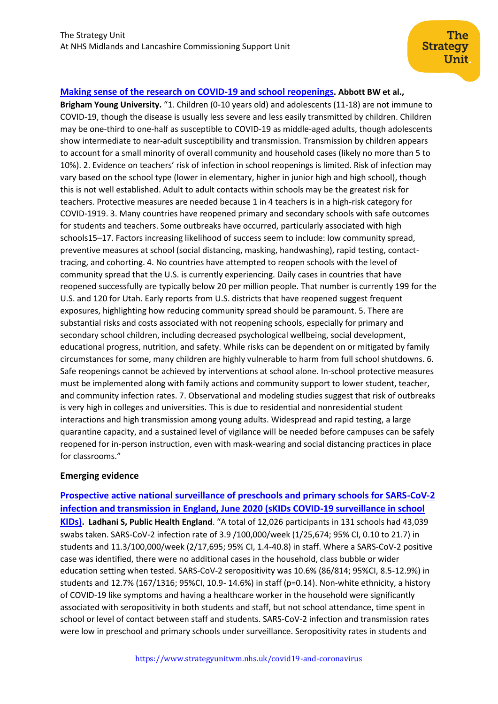### **[Making sense of the research on COVID-19 and school reopenings](https://www.researchgate.net/profile/Benjamin_Abbott2/publication/343635569_Making_sense_of_the_research_on_COVID-19_and_school_reopenings/links/5f354c0ea6fdcccc43c5c949/Making-sense-of-the-research-on-COVID-19-and-school-reopenings.pdf). Abbott BW et al.,**

**Brigham Young University.** "1. Children (0-10 years old) and adolescents (11-18) are not immune to COVID-19, though the disease is usually less severe and less easily transmitted by children. Children may be one-third to one-half as susceptible to COVID-19 as middle-aged adults, though adolescents show intermediate to near-adult susceptibility and transmission. Transmission by children appears to account for a small minority of overall community and household cases (likely no more than 5 to 10%). 2. Evidence on teachers' risk of infection in school reopenings is limited. Risk of infection may vary based on the school type (lower in elementary, higher in junior high and high school), though this is not well established. Adult to adult contacts within schools may be the greatest risk for teachers. Protective measures are needed because 1 in 4 teachers is in a high-risk category for COVID-1919. 3. Many countries have reopened primary and secondary schools with safe outcomes for students and teachers. Some outbreaks have occurred, particularly associated with high schools15–17. Factors increasing likelihood of success seem to include: low community spread, preventive measures at school (social distancing, masking, handwashing), rapid testing, contacttracing, and cohorting. 4. No countries have attempted to reopen schools with the level of community spread that the U.S. is currently experiencing. Daily cases in countries that have reopened successfully are typically below 20 per million people. That number is currently 199 for the U.S. and 120 for Utah. Early reports from U.S. districts that have reopened suggest frequent exposures, highlighting how reducing community spread should be paramount. 5. There are substantial risks and costs associated with not reopening schools, especially for primary and secondary school children, including decreased psychological wellbeing, social development, educational progress, nutrition, and safety. While risks can be dependent on or mitigated by family circumstances for some, many children are highly vulnerable to harm from full school shutdowns. 6. Safe reopenings cannot be achieved by interventions at school alone. In-school protective measures must be implemented along with family actions and community support to lower student, teacher, and community infection rates. 7. Observational and modeling studies suggest that risk of outbreaks is very high in colleges and universities. This is due to residential and nonresidential student interactions and high transmission among young adults. Widespread and rapid testing, a large quarantine capacity, and a sustained level of vigilance will be needed before campuses can be safely reopened for in-person instruction, even with mask-wearing and social distancing practices in place for classrooms."

#### **Emerging evidence**

**[Prospective active national surveillance of preschools and primary schools for SARS-CoV-2](https://assets.publishing.service.gov.uk/government/uploads/system/uploads/attachment_data/file/914700/sKIDs_Phase1Report_01sep2020.pdf)  [infection and transmission in England, June 2020 \(sKIDs COVID-19 surveillance in school](https://assets.publishing.service.gov.uk/government/uploads/system/uploads/attachment_data/file/914700/sKIDs_Phase1Report_01sep2020.pdf)  [KIDs\)](https://assets.publishing.service.gov.uk/government/uploads/system/uploads/attachment_data/file/914700/sKIDs_Phase1Report_01sep2020.pdf). Ladhani S, Public Health England**. "A total of 12,026 participants in 131 schools had 43,039 swabs taken. SARS-CoV-2 infection rate of 3.9 /100,000/week (1/25,674; 95% CI, 0.10 to 21.7) in students and 11.3/100,000/week (2/17,695; 95% CI, 1.4-40.8) in staff. Where a SARS-CoV-2 positive case was identified, there were no additional cases in the household, class bubble or wider education setting when tested. SARS-CoV-2 seropositivity was 10.6% (86/814; 95%CI, 8.5-12.9%) in students and 12.7% (167/1316; 95%CI, 10.9- 14.6%) in staff (p=0.14). Non-white ethnicity, a history of COVID-19 like symptoms and having a healthcare worker in the household were significantly associated with seropositivity in both students and staff, but not school attendance, time spent in school or level of contact between staff and students. SARS-CoV-2 infection and transmission rates were low in preschool and primary schools under surveillance. Seropositivity rates in students and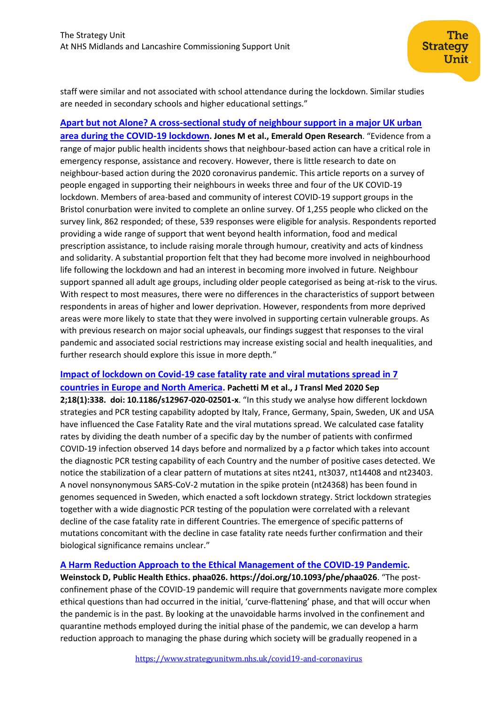staff were similar and not associated with school attendance during the lockdown. Similar studies are needed in secondary schools and higher educational settings."

#### **[Apart but not Alone? A cross-sectional study of neighbour support in a major UK urban](https://emeraldopenresearch.com/articles/2-37/v1)**

**[area during the COVID-19 lockdown](https://emeraldopenresearch.com/articles/2-37/v1). Jones M et al., Emerald Open Research**. "Evidence from a range of major public health incidents shows that neighbour-based action can have a critical role in emergency response, assistance and recovery. However, there is little research to date on neighbour-based action during the 2020 coronavirus pandemic. This article reports on a survey of people engaged in supporting their neighbours in weeks three and four of the UK COVID-19 lockdown. Members of area-based and community of interest COVID-19 support groups in the Bristol conurbation were invited to complete an online survey. Of 1,255 people who clicked on the survey link, 862 responded; of these, 539 responses were eligible for analysis. Respondents reported providing a wide range of support that went beyond health information, food and medical prescription assistance, to include raising morale through humour, creativity and acts of kindness and solidarity. A substantial proportion felt that they had become more involved in neighbourhood life following the lockdown and had an interest in becoming more involved in future. Neighbour support spanned all adult age groups, including older people categorised as being at-risk to the virus. With respect to most measures, there were no differences in the characteristics of support between respondents in areas of higher and lower deprivation. However, respondents from more deprived areas were more likely to state that they were involved in supporting certain vulnerable groups. As with previous research on major social upheavals, our findings suggest that responses to the viral pandemic and associated social restrictions may increase existing social and health inequalities, and further research should explore this issue in more depth."

# **[Impact of lockdown on Covid-19 case fatality rate and viral mutations spread in 7](https://www.ncbi.nlm.nih.gov/pmc/articles/pmid/32878627/)  [countries in Europe and North America](https://www.ncbi.nlm.nih.gov/pmc/articles/pmid/32878627/). Pachetti M et al., J Transl Med 2020 Sep**

**2;18(1):338. doi: 10.1186/s12967-020-02501-x**. "In this study we analyse how different lockdown strategies and PCR testing capability adopted by Italy, France, Germany, Spain, Sweden, UK and USA have influenced the Case Fatality Rate and the viral mutations spread. We calculated case fatality rates by dividing the death number of a specific day by the number of patients with confirmed COVID-19 infection observed 14 days before and normalized by a ρ factor which takes into account the diagnostic PCR testing capability of each Country and the number of positive cases detected. We notice the stabilization of a clear pattern of mutations at sites nt241, nt3037, nt14408 and nt23403. A novel nonsynonymous SARS-CoV-2 mutation in the spike protein (nt24368) has been found in genomes sequenced in Sweden, which enacted a soft lockdown strategy. Strict lockdown strategies together with a wide diagnostic PCR testing of the population were correlated with a relevant decline of the case fatality rate in different Countries. The emergence of specific patterns of mutations concomitant with the decline in case fatality rate needs further confirmation and their biological significance remains unclear."

#### **[A Harm Reduction Approach to the Ethical Management of the COVID-19 Pandemic](https://academic.oup.com/phe/advance-article/doi/10.1093/phe/phaa026/5899250).**

**Weinstock D, Public Health Ethics. phaa026. https://doi.org/10.1093/phe/phaa026**. "The postconfinement phase of the COVID-19 pandemic will require that governments navigate more complex ethical questions than had occurred in the initial, 'curve-flattening' phase, and that will occur when the pandemic is in the past. By looking at the unavoidable harms involved in the confinement and quarantine methods employed during the initial phase of the pandemic, we can develop a harm reduction approach to managing the phase during which society will be gradually reopened in a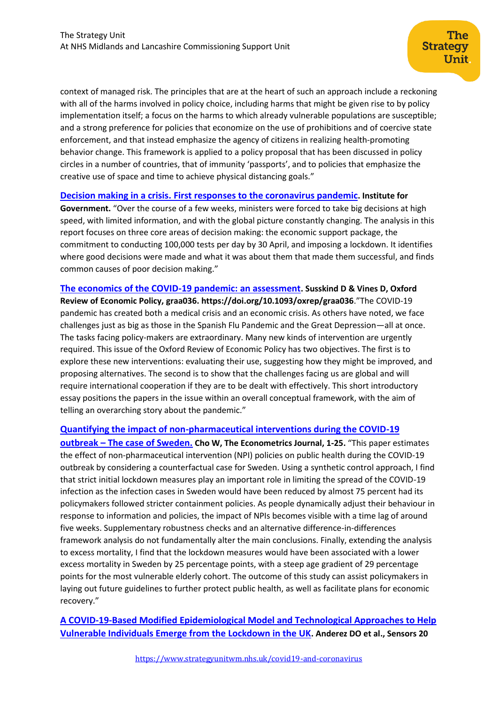context of managed risk. The principles that are at the heart of such an approach include a reckoning with all of the harms involved in policy choice, including harms that might be given rise to by policy implementation itself; a focus on the harms to which already vulnerable populations are susceptible; and a strong preference for policies that economize on the use of prohibitions and of coercive state enforcement, and that instead emphasize the agency of citizens in realizing health-promoting behavior change. This framework is applied to a policy proposal that has been discussed in policy circles in a number of countries, that of immunity 'passports', and to policies that emphasize the creative use of space and time to achieve physical distancing goals."

### **Decision making in a crisis. [First responses to the coronavirus pandemic](https://www.instituteforgovernment.org.uk/sites/default/files/publications/decision-making-crisis.pdf). Institute for**

**Government.** "Over the course of a few weeks, ministers were forced to take big decisions at high speed, with limited information, and with the global picture constantly changing. The analysis in this report focuses on three core areas of decision making: the economic support package, the commitment to conducting 100,000 tests per day by 30 April, and imposing a lockdown. It identifies where good decisions were made and what it was about them that made them successful, and finds common causes of poor decision making."

**[The economics of the COVID-19 pandemic: an assessment](https://academic.oup.com/oxrep/advance-article/doi/10.1093/oxrep/graa036/5899022). Susskind D & Vines D, Oxford Review of Economic Policy, graa036. https://doi.org/10.1093/oxrep/graa036**."The COVID-19 pandemic has created both a medical crisis and an economic crisis. As others have noted, we face challenges just as big as those in the Spanish Flu Pandemic and the Great Depression—all at once. The tasks facing policy-makers are extraordinary. Many new kinds of intervention are urgently required. This issue of the Oxford Review of Economic Policy has two objectives. The first is to explore these new interventions: evaluating their use, suggesting how they might be improved, and proposing alternatives. The second is to show that the challenges facing us are global and will require international cooperation if they are to be dealt with effectively. This short introductory essay positions the papers in the issue within an overall conceptual framework, with the aim of telling an overarching story about the pandemic."

#### **[Quantifying the impact of non-pharmaceutical interventions during the COVID-19](https://watermark.silverchair.com/utaa025.pdf)**

**outbreak – [The case of Sweden.](https://watermark.silverchair.com/utaa025.pdf) Cho W, The Econometrics Journal, 1-25.** "This paper estimates the effect of non-pharmaceutical intervention (NPI) policies on public health during the COVID-19 outbreak by considering a counterfactual case for Sweden. Using a synthetic control approach, I find that strict initial lockdown measures play an important role in limiting the spread of the COVID-19 infection as the infection cases in Sweden would have been reduced by almost 75 percent had its policymakers followed stricter containment policies. As people dynamically adjust their behaviour in response to information and policies, the impact of NPIs becomes visible with a time lag of around five weeks. Supplementary robustness checks and an alternative difference-in-differences framework analysis do not fundamentally alter the main conclusions. Finally, extending the analysis to excess mortality, I find that the lockdown measures would have been associated with a lower excess mortality in Sweden by 25 percentage points, with a steep age gradient of 29 percentage points for the most vulnerable elderly cohort. The outcome of this study can assist policymakers in laying out future guidelines to further protect public health, as well as facilitate plans for economic recovery."

**[A COVID-19-Based Modified Epidemiological Model and Technological Approaches to Help](https://www.mdpi.com/1424-8220/20/17/4967)  [Vulnerable Individuals Emerge from the Lockdown in the UK](https://www.mdpi.com/1424-8220/20/17/4967). Anderez DO et al., Sensors 20**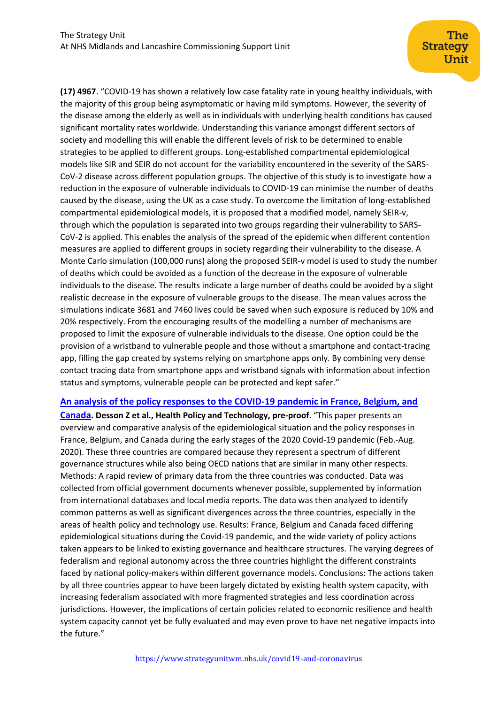**(17) 4967**. "COVID-19 has shown a relatively low case fatality rate in young healthy individuals, with the majority of this group being asymptomatic or having mild symptoms. However, the severity of the disease among the elderly as well as in individuals with underlying health conditions has caused significant mortality rates worldwide. Understanding this variance amongst different sectors of society and modelling this will enable the different levels of risk to be determined to enable strategies to be applied to different groups. Long-established compartmental epidemiological models like SIR and SEIR do not account for the variability encountered in the severity of the SARS-CoV-2 disease across different population groups. The objective of this study is to investigate how a reduction in the exposure of vulnerable individuals to COVID-19 can minimise the number of deaths caused by the disease, using the UK as a case study. To overcome the limitation of long-established compartmental epidemiological models, it is proposed that a modified model, namely SEIR-v, through which the population is separated into two groups regarding their vulnerability to SARS-CoV-2 is applied. This enables the analysis of the spread of the epidemic when different contention measures are applied to different groups in society regarding their vulnerability to the disease. A Monte Carlo simulation (100,000 runs) along the proposed SEIR-v model is used to study the number of deaths which could be avoided as a function of the decrease in the exposure of vulnerable individuals to the disease. The results indicate a large number of deaths could be avoided by a slight realistic decrease in the exposure of vulnerable groups to the disease. The mean values across the simulations indicate 3681 and 7460 lives could be saved when such exposure is reduced by 10% and 20% respectively. From the encouraging results of the modelling a number of mechanisms are proposed to limit the exposure of vulnerable individuals to the disease. One option could be the provision of a wristband to vulnerable people and those without a smartphone and contact-tracing app, filling the gap created by systems relying on smartphone apps only. By combining very dense contact tracing data from smartphone apps and wristband signals with information about infection status and symptoms, vulnerable people can be protected and kept safer."

#### **[An analysis of the policy responses to the COVID-19 pandemic in France, Belgium, and](https://www.sciencedirect.com/science/article/pii/S2211883720300940)**

**[Canada](https://www.sciencedirect.com/science/article/pii/S2211883720300940). Desson Z et al., Health Policy and Technology, pre-proof**. "This paper presents an overview and comparative analysis of the epidemiological situation and the policy responses in France, Belgium, and Canada during the early stages of the 2020 Covid-19 pandemic (Feb.-Aug. 2020). These three countries are compared because they represent a spectrum of different governance structures while also being OECD nations that are similar in many other respects. Methods: A rapid review of primary data from the three countries was conducted. Data was collected from official government documents whenever possible, supplemented by information from international databases and local media reports. The data was then analyzed to identify common patterns as well as significant divergences across the three countries, especially in the areas of health policy and technology use. Results: France, Belgium and Canada faced differing epidemiological situations during the Covid-19 pandemic, and the wide variety of policy actions taken appears to be linked to existing governance and healthcare structures. The varying degrees of federalism and regional autonomy across the three countries highlight the different constraints faced by national policy-makers within different governance models. Conclusions: The actions taken by all three countries appear to have been largely dictated by existing health system capacity, with increasing federalism associated with more fragmented strategies and less coordination across jurisdictions. However, the implications of certain policies related to economic resilience and health system capacity cannot yet be fully evaluated and may even prove to have net negative impacts into the future."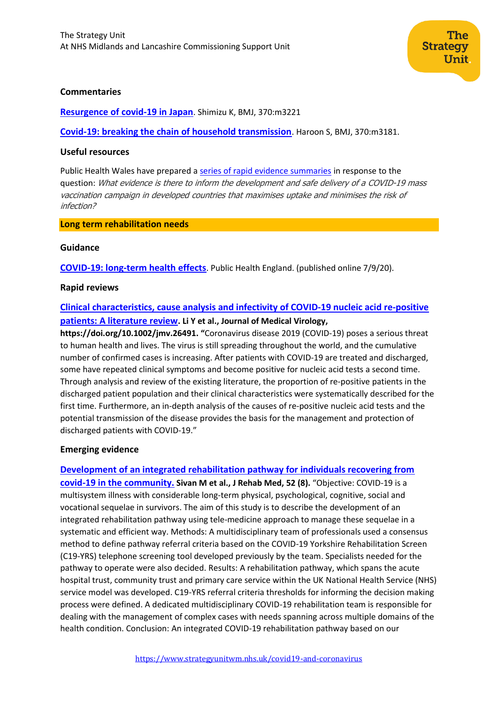

#### **Commentaries**

**[Resurgence of covid-19 in Japan](https://www.bmj.com/content/370/bmj.m3221.long)**. Shimizu K, BMJ, 370:m3221

**[Covid-19: breaking the chain of household transmission](https://www.bmj.com/content/370/bmj.m3181.long)**. Haroon S, BMJ, 370:m3181.

#### **Useful resources**

Public Health Wales have prepared a [series of rapid evidence summaries](http://www.publichealthwalesobservatory.wales.nhs.uk/coronavirus-covid-19-publications) in response to the question: What evidence is there to inform the development and safe delivery of <sup>a</sup> COVID-19 mass vaccination campaign in developed countries that maximises uptake and minimises the risk of infection?

#### **Long term rehabilitation needs**

#### **Guidance**

**[COVID-19: long-term health effects](https://www.gov.uk/government/publications/covid-19-long-term-health-effects/covid-19-long-term-health-effects)**. Public Health England. (published online 7/9/20).

#### **Rapid reviews**

# **[Clinical characteristics, cause analysis and infectivity of COVID‐19 nucleic acid re‐positive](https://onlinelibrary.wiley.com/doi/abs/10.1002/jmv.26491)  [patients: A literature review](https://onlinelibrary.wiley.com/doi/abs/10.1002/jmv.26491). Li Y et al., Journal of Medical Virology,**

**https://doi.org/10.1002/jmv.26491. "**Coronavirus disease 2019 (COVID‐19) poses a serious threat to human health and lives. The virus is still spreading throughout the world, and the cumulative number of confirmed cases is increasing. After patients with COVID‐19 are treated and discharged, some have repeated clinical symptoms and become positive for nucleic acid tests a second time. Through analysis and review of the existing literature, the proportion of re‐positive patients in the discharged patient population and their clinical characteristics were systematically described for the first time. Furthermore, an in-depth analysis of the causes of re-positive nucleic acid tests and the potential transmission of the disease provides the basis for the management and protection of discharged patients with COVID‐19."

#### **Emerging evidence**

#### **[Development of an integrated rehabilitation pathway for individuals recovering from](https://www.medicaljournals.se/jrm/content/html/10.2340/16501977-2727)**

**[covid-19 in the community.](https://www.medicaljournals.se/jrm/content/html/10.2340/16501977-2727) Sivan M et al., J Rehab Med, 52 (8).** "Objective: COVID-19 is a multisystem illness with considerable long-term physical, psychological, cognitive, social and vocational sequelae in survivors. The aim of this study is to describe the development of an integrated rehabilitation pathway using tele-medicine approach to manage these sequelae in a systematic and efficient way. Methods: A multidisciplinary team of professionals used a consensus method to define pathway referral criteria based on the COVID-19 Yorkshire Rehabilitation Screen (C19-YRS) telephone screening tool developed previously by the team. Specialists needed for the pathway to operate were also decided. Results: A rehabilitation pathway, which spans the acute hospital trust, community trust and primary care service within the UK National Health Service (NHS) service model was developed. C19-YRS referral criteria thresholds for informing the decision making process were defined. A dedicated multidisciplinary COVID-19 rehabilitation team is responsible for dealing with the management of complex cases with needs spanning across multiple domains of the health condition. Conclusion: An integrated COVID-19 rehabilitation pathway based on our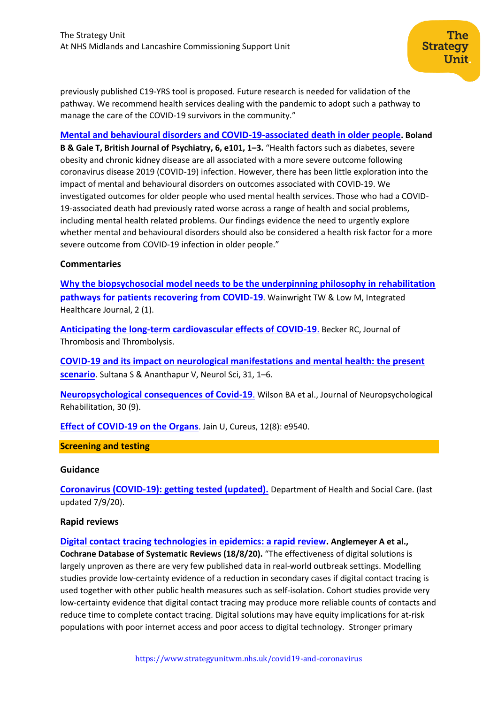previously published C19-YRS tool is proposed. Future research is needed for validation of the pathway. We recommend health services dealing with the pandemic to adopt such a pathway to manage the care of the COVID-19 survivors in the community."

The

Unit.

**Strategy** 

**[Mental and behavioural disorders and COVID-19-associated death in older people](https://www.cambridge.org/core/services/aop-cambridge-core/content/view/CF65061A555B36142962E59E3CA89481/S2056472420000873a.pdf/div-class-title-mental-and-behavioural-disorders-and-covid-19-associated-death-in-older-people-div.pdf). Boland B & Gale T, British Journal of Psychiatry, 6, e101, 1–3.** "Health factors such as diabetes, severe obesity and chronic kidney disease are all associated with a more severe outcome following coronavirus disease 2019 (COVID-19) infection. However, there has been little exploration into the impact of mental and behavioural disorders on outcomes associated with COVID-19. We investigated outcomes for older people who used mental health services. Those who had a COVID-19-associated death had previously rated worse across a range of health and social problems, including mental health related problems. Our findings evidence the need to urgently explore whether mental and behavioural disorders should also be considered a health risk factor for a more severe outcome from COVID-19 infection in older people."

### **Commentaries**

**[Why the biopsychosocial model needs to be the underpinning philosophy in rehabilitation](https://ihj.bmj.com/content/2/1/e000043)  [pathways for patients recovering from COVID-19](https://ihj.bmj.com/content/2/1/e000043)**. Wainwright TW & Low M, Integrated Healthcare Journal, 2 (1).

**[Anticipating the long-term cardiovascular effects of COVID-19](https://link.springer.com/article/10.1007/s11239-020-02266-6)**. Becker RC, Journal of Thrombosis and Thrombolysis.

**[COVID-19 and its impact on neurological manifestations and mental health: the present](https://www.ncbi.nlm.nih.gov/pmc/articles/PMC7457899/)  [scenario](https://www.ncbi.nlm.nih.gov/pmc/articles/PMC7457899/)**. Sultana S & Ananthapur V, Neurol Sci, 31, 1–6.

**[Neuropsychological consequences of Covid-19](https://www.tandfonline.com/doi/full/10.1080/09602011.2020.1808483)**. Wilson BA et al., Journal of Neuropsychological Rehabilitation, 30 (9).

**[Effect of COVID-19 on the Organs](https://www.ncbi.nlm.nih.gov/pmc/articles/PMC7470660/)**. Jain U, Cureus, 12(8): e9540.

#### **Screening and testing**

#### **Guidance**

**[Coronavirus \(COVID-19\): getting tested \(updated\).](https://www.gov.uk/guidance/coronavirus-covid-19-getting-tested)** Department of Health and Social Care. (last updated 7/9/20).

#### **Rapid reviews**

**[Digital contact tracing technologies in epidemics: a rapid review.](https://www.cochranelibrary.com/cdsr/doi/10.1002/14651858.CD013699/full) Anglemeyer A et al., Cochrane Database of Systematic Reviews (18/8/20).** "The effectiveness of digital solutions is largely unproven as there are very few published data in real‐world outbreak settings. Modelling studies provide low‐certainty evidence of a reduction in secondary cases if digital contact tracing is used together with other public health measures such as self‐isolation. Cohort studies provide very low‐certainty evidence that digital contact tracing may produce more reliable counts of contacts and reduce time to complete contact tracing. Digital solutions may have equity implications for at‐risk populations with poor internet access and poor access to digital technology. Stronger primary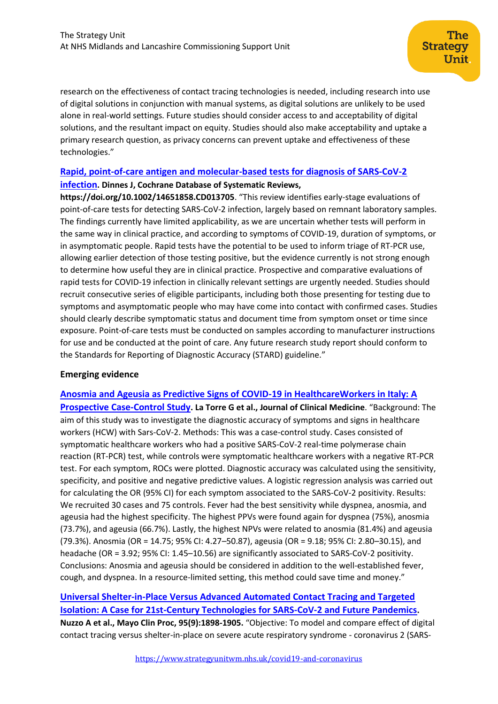research on the effectiveness of contact tracing technologies is needed, including research into use of digital solutions in conjunction with manual systems, as digital solutions are unlikely to be used alone in real‐world settings. Future studies should consider access to and acceptability of digital solutions, and the resultant impact on equity. Studies should also make acceptability and uptake a primary research question, as privacy concerns can prevent uptake and effectiveness of these technologies."

# **[Rapid, point‐of‐care antigen and molecular‐based tests for diagnosis of SARS‐CoV‐2](https://www.cochranelibrary.com/cdsr/doi/10.1002/14651858.CD013705/full)**

# **[infection](https://www.cochranelibrary.com/cdsr/doi/10.1002/14651858.CD013705/full). Dinnes J, Cochrane Database of Systematic Reviews,**

**https://doi.org/10.1002/14651858.CD013705**. "This review identifies early‐stage evaluations of point-of-care tests for detecting SARS-CoV-2 infection, largely based on remnant laboratory samples. The findings currently have limited applicability, as we are uncertain whether tests will perform in the same way in clinical practice, and according to symptoms of COVID‐19, duration of symptoms, or in asymptomatic people. Rapid tests have the potential to be used to inform triage of RT‐PCR use, allowing earlier detection of those testing positive, but the evidence currently is not strong enough to determine how useful they are in clinical practice. Prospective and comparative evaluations of rapid tests for COVID‐19 infection in clinically relevant settings are urgently needed. Studies should recruit consecutive series of eligible participants, including both those presenting for testing due to symptoms and asymptomatic people who may have come into contact with confirmed cases. Studies should clearly describe symptomatic status and document time from symptom onset or time since exposure. Point-of-care tests must be conducted on samples according to manufacturer instructions for use and be conducted at the point of care. Any future research study report should conform to the Standards for Reporting of Diagnostic Accuracy (STARD) guideline."

# **Emerging evidence**

**[Anosmia and Ageusia as Predictive Signs of COVID-19 in HealthcareWorkers in Italy: A](https://www.mdpi.com/2077-0383/9/9/2870)  [Prospective Case-Control Study](https://www.mdpi.com/2077-0383/9/9/2870). La Torre G et al., Journal of Clinical Medicine**. "Background: The aim of this study was to investigate the diagnostic accuracy of symptoms and signs in healthcare workers (HCW) with Sars-CoV-2. Methods: This was a case-control study. Cases consisted of symptomatic healthcare workers who had a positive SARS-CoV-2 real-time polymerase chain reaction (RT-PCR) test, while controls were symptomatic healthcare workers with a negative RT-PCR test. For each symptom, ROCs were plotted. Diagnostic accuracy was calculated using the sensitivity, specificity, and positive and negative predictive values. A logistic regression analysis was carried out for calculating the OR (95% CI) for each symptom associated to the SARS-CoV-2 positivity. Results: We recruited 30 cases and 75 controls. Fever had the best sensitivity while dyspnea, anosmia, and ageusia had the highest specificity. The highest PPVs were found again for dyspnea (75%), anosmia (73.7%), and ageusia (66.7%). Lastly, the highest NPVs were related to anosmia (81.4%) and ageusia (79.3%). Anosmia (OR = 14.75; 95% CI: 4.27–50.87), ageusia (OR = 9.18; 95% CI: 2.80–30.15), and headache (OR = 3.92; 95% CI: 1.45–10.56) are significantly associated to SARS-CoV-2 positivity. Conclusions: Anosmia and ageusia should be considered in addition to the well-established fever, cough, and dyspnea. In a resource-limited setting, this method could save time and money."

# **[Universal Shelter-in-Place Versus Advanced Automated Contact Tracing and Targeted](https://www.ncbi.nlm.nih.gov/pmc/articles/pmid/32861334/)  [Isolation: A Case for 21st-Century Technologies for SARS-CoV-2 and Future Pandemics](https://www.ncbi.nlm.nih.gov/pmc/articles/pmid/32861334/).**

**Nuzzo A et al., Mayo Clin Proc, 95(9):1898-1905.** "Objective: To model and compare effect of digital contact tracing versus shelter-in-place on severe acute respiratory syndrome - coronavirus 2 (SARS-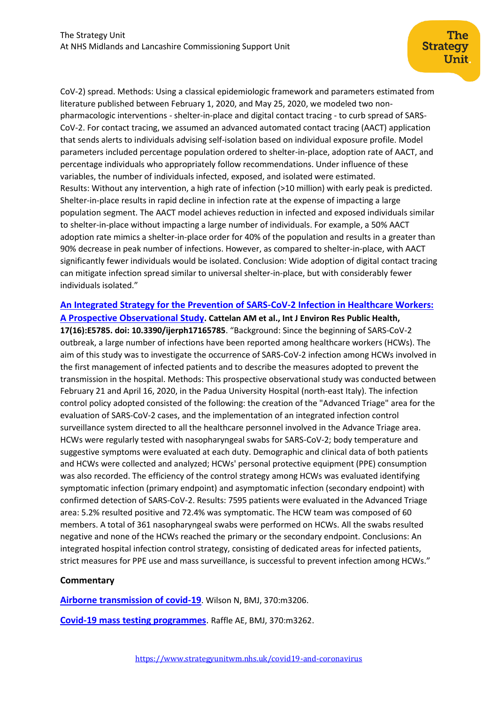CoV-2) spread. Methods: Using a classical epidemiologic framework and parameters estimated from literature published between February 1, 2020, and May 25, 2020, we modeled two nonpharmacologic interventions - shelter-in-place and digital contact tracing - to curb spread of SARS-CoV-2. For contact tracing, we assumed an advanced automated contact tracing (AACT) application that sends alerts to individuals advising self-isolation based on individual exposure profile. Model parameters included percentage population ordered to shelter-in-place, adoption rate of AACT, and percentage individuals who appropriately follow recommendations. Under influence of these variables, the number of individuals infected, exposed, and isolated were estimated. Results: Without any intervention, a high rate of infection (>10 million) with early peak is predicted. Shelter-in-place results in rapid decline in infection rate at the expense of impacting a large population segment. The AACT model achieves reduction in infected and exposed individuals similar to shelter-in-place without impacting a large number of individuals. For example, a 50% AACT adoption rate mimics a shelter-in-place order for 40% of the population and results in a greater than 90% decrease in peak number of infections. However, as compared to shelter-in-place, with AACT significantly fewer individuals would be isolated. Conclusion: Wide adoption of digital contact tracing can mitigate infection spread similar to universal shelter-in-place, but with considerably fewer individuals isolated."

# **[An Integrated Strategy for the Prevention of SARS-CoV-2 Infection in Healthcare Workers:](https://www.ncbi.nlm.nih.gov/pmc/articles/pmid/32785110/)  [A Prospective Observational Study](https://www.ncbi.nlm.nih.gov/pmc/articles/pmid/32785110/). Cattelan AM et al., Int J Environ Res Public Health,**

**17(16):E5785. doi: 10.3390/ijerph17165785**. "Background: Since the beginning of SARS-CoV-2 outbreak, a large number of infections have been reported among healthcare workers (HCWs). The aim of this study was to investigate the occurrence of SARS-CoV-2 infection among HCWs involved in the first management of infected patients and to describe the measures adopted to prevent the transmission in the hospital. Methods: This prospective observational study was conducted between February 21 and April 16, 2020, in the Padua University Hospital (north-east Italy). The infection control policy adopted consisted of the following: the creation of the "Advanced Triage" area for the evaluation of SARS-CoV-2 cases, and the implementation of an integrated infection control surveillance system directed to all the healthcare personnel involved in the Advance Triage area. HCWs were regularly tested with nasopharyngeal swabs for SARS-CoV-2; body temperature and suggestive symptoms were evaluated at each duty. Demographic and clinical data of both patients and HCWs were collected and analyzed; HCWs' personal protective equipment (PPE) consumption was also recorded. The efficiency of the control strategy among HCWs was evaluated identifying symptomatic infection (primary endpoint) and asymptomatic infection (secondary endpoint) with confirmed detection of SARS-CoV-2. Results: 7595 patients were evaluated in the Advanced Triage area: 5.2% resulted positive and 72.4% was symptomatic. The HCW team was composed of 60 members. A total of 361 nasopharyngeal swabs were performed on HCWs. All the swabs resulted negative and none of the HCWs reached the primary or the secondary endpoint. Conclusions: An integrated hospital infection control strategy, consisting of dedicated areas for infected patients, strict measures for PPE use and mass surveillance, is successful to prevent infection among HCWs."

# **Commentary**

**[Airborne transmission of covid-19](https://www.bmj.com/content/370/bmj.m3206.long)**. Wilson N, BMJ, 370:m3206.

**[Covid-19 mass testing programmes](https://www.bmj.com/content/370/bmj.m3262.long)**. Raffle AE, BMJ, 370:m3262.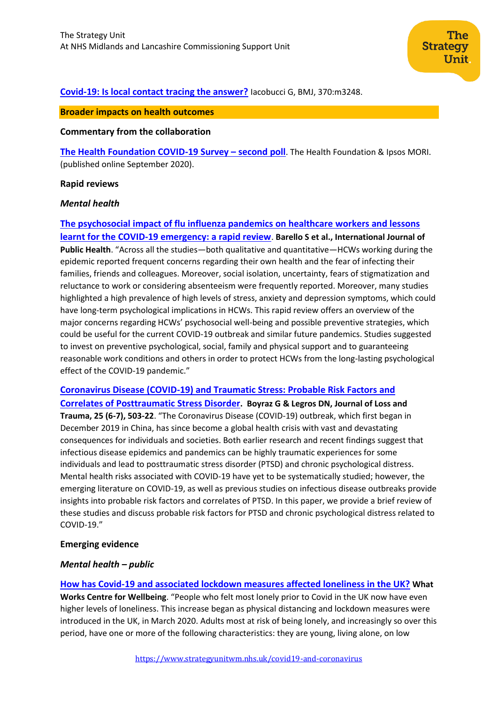# **[Covid-19: Is local contact tracing the answer?](https://www.bmj.com/content/370/bmj.m3248)** Iacobucci G, BMJ, 370:m3248.

### **Broader impacts on health outcomes**

#### **Commentary from the collaboration**

**[The Health Foundation COVID-19 Survey](https://www.health.org.uk/sites/default/files/upload/publications/2020/20200906-Health-Foundation-Ipsos-MORI-polling-on-COVID19-July2020.pdf) – second poll**. The Health Foundation & Ipsos MORI. (published online September 2020).

#### **Rapid reviews**

#### *Mental health*

**[The psychosocial impact of flu influenza pandemics on healthcare workers and lessons](https://link.springer.com/article/10.1007/s00038-020-01463-7)  [learnt for the COVID-19 emergency: a rapid review](https://link.springer.com/article/10.1007/s00038-020-01463-7)**. **Barello S et al., International Journal of Public Health**. "Across all the studies—both qualitative and quantitative—HCWs working during the epidemic reported frequent concerns regarding their own health and the fear of infecting their families, friends and colleagues. Moreover, social isolation, uncertainty, fears of stigmatization and reluctance to work or considering absenteeism were frequently reported. Moreover, many studies highlighted a high prevalence of high levels of stress, anxiety and depression symptoms, which could have long-term psychological implications in HCWs. This rapid review offers an overview of the major concerns regarding HCWs' psychosocial well-being and possible preventive strategies, which could be useful for the current COVID-19 outbreak and similar future pandemics. Studies suggested to invest on preventive psychological, social, family and physical support and to guaranteeing reasonable work conditions and others in order to protect HCWs from the long-lasting psychological effect of the COVID-19 pandemic."

**[Coronavirus Disease \(COVID-19\) and Traumatic Stress: Probable Risk Factors and](https://www.tandfonline.com/doi/pdf/10.1080/15325024.2020.1763556?needAccess=true)  [Correlates of Posttraumatic Stress Disorder](https://www.tandfonline.com/doi/pdf/10.1080/15325024.2020.1763556?needAccess=true). Boyraz G & Legros DN, Journal of Loss and Trauma, 25 (6-7), 503-22**. "The Coronavirus Disease (COVID-19) outbreak, which first began in December 2019 in China, has since become a global health crisis with vast and devastating consequences for individuals and societies. Both earlier research and recent findings suggest that infectious disease epidemics and pandemics can be highly traumatic experiences for some individuals and lead to posttraumatic stress disorder (PTSD) and chronic psychological distress. Mental health risks associated with COVID-19 have yet to be systematically studied; however, the emerging literature on COVID-19, as well as previous studies on infectious disease outbreaks provide insights into probable risk factors and correlates of PTSD. In this paper, we provide a brief review of these studies and discuss probable risk factors for PTSD and chronic psychological distress related to COVID-19."

#### **Emerging evidence**

#### *Mental health – public*

**[How has Covid-19 and associated lockdown measures affected loneliness in the UK?](https://whatworkswellbeing.org/wp-content/uploads/2020/08/COVID-LONELINESS-2020.pdf) What Works Centre for Wellbeing**. "People who felt most lonely prior to Covid in the UK now have even higher levels of loneliness. This increase began as physical distancing and lockdown measures were introduced in the UK, in March 2020. Adults most at risk of being lonely, and increasingly so over this period, have one or more of the following characteristics: they are young, living alone, on low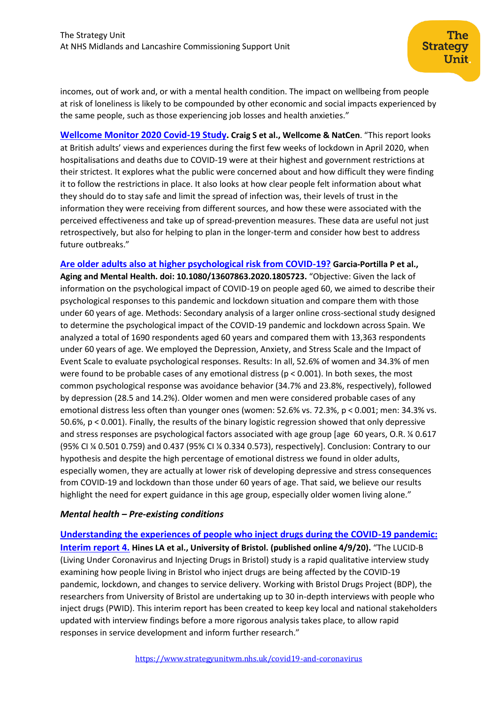incomes, out of work and, or with a mental health condition. The impact on wellbeing from people at risk of loneliness is likely to be compounded by other economic and social impacts experienced by the same people, such as those experiencing job losses and health anxieties."

**[Wellcome Monitor 2020 Covid-19 Study.](https://wellcome.ac.uk/sites/default/files/wellcome-monitor-2020-covid-19-report.pdf) Craig S et al., Wellcome & NatCen**. "This report looks at British adults' views and experiences during the first few weeks of lockdown in April 2020, when hospitalisations and deaths due to COVID-19 were at their highest and government restrictions at their strictest. It explores what the public were concerned about and how difficult they were finding it to follow the restrictions in place. It also looks at how clear people felt information about what they should do to stay safe and limit the spread of infection was, their levels of trust in the information they were receiving from different sources, and how these were associated with the perceived effectiveness and take up of spread-prevention measures. These data are useful not just retrospectively, but also for helping to plan in the longer-term and consider how best to address future outbreaks."

**[Are older adults also at higher psychological risk from COVID-19?](https://www.tandfonline.com/doi/pdf/10.1080/13607863.2020.1805723) Garcia-Portilla P et al., Aging and Mental Health. doi: 10.1080/13607863.2020.1805723.** "Objective: Given the lack of information on the psychological impact of COVID-19 on people aged 60, we aimed to describe their psychological responses to this pandemic and lockdown situation and compare them with those under 60 years of age. Methods: Secondary analysis of a larger online cross-sectional study designed to determine the psychological impact of the COVID-19 pandemic and lockdown across Spain. We analyzed a total of 1690 respondents aged 60 years and compared them with 13,363 respondents under 60 years of age. We employed the Depression, Anxiety, and Stress Scale and the Impact of Event Scale to evaluate psychological responses. Results: In all, 52.6% of women and 34.3% of men were found to be probable cases of any emotional distress (p < 0.001). In both sexes, the most common psychological response was avoidance behavior (34.7% and 23.8%, respectively), followed by depression (28.5 and 14.2%). Older women and men were considered probable cases of any emotional distress less often than younger ones (women: 52.6% vs. 72.3%, p < 0.001; men: 34.3% vs. 50.6%, p < 0.001). Finally, the results of the binary logistic regression showed that only depressive and stress responses are psychological factors associated with age group [age 60 years, O.R. ¼ 0.617 (95% CI ¼ 0.501 0.759) and 0.437 (95% CI ¼ 0.334 0.573), respectively]. Conclusion: Contrary to our hypothesis and despite the high percentage of emotional distress we found in older adults, especially women, they are actually at lower risk of developing depressive and stress consequences from COVID-19 and lockdown than those under 60 years of age. That said, we believe our results highlight the need for expert guidance in this age group, especially older women living alone."

# *Mental health – Pre-existing conditions*

**[Understanding the experiences of people who inject drugs during the COVID-19 pandemic:](https://arc-w.nihr.ac.uk/Wordpress/wp-content/uploads/2020/09/LUCID-B-Interim-report-4-10th-august-2020.pdf)  [Interim report 4.](https://arc-w.nihr.ac.uk/Wordpress/wp-content/uploads/2020/09/LUCID-B-Interim-report-4-10th-august-2020.pdf) Hines LA et al., University of Bristol. (published online 4/9/20).** "The LUCID-B (Living Under Coronavirus and Injecting Drugs in Bristol) study is a rapid qualitative interview study examining how people living in Bristol who inject drugs are being affected by the COVID-19 pandemic, lockdown, and changes to service delivery. Working with Bristol Drugs Project (BDP), the researchers from University of Bristol are undertaking up to 30 in-depth interviews with people who inject drugs (PWID). This interim report has been created to keep key local and national stakeholders updated with interview findings before a more rigorous analysis takes place, to allow rapid responses in service development and inform further research."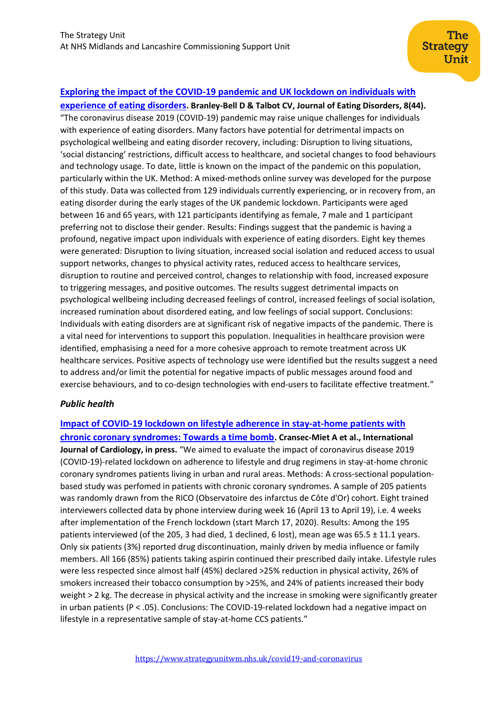# **[Exploring the impact of the COVID-19 pandemic and UK lockdown on individuals with](https://jeatdisord.biomedcentral.com/articles/10.1186/s40337-020-00319-y)**

**[experience of eating disorders](https://jeatdisord.biomedcentral.com/articles/10.1186/s40337-020-00319-y). Branley-Bell D & Talbot CV, Journal of Eating Disorders, 8(44).** "The coronavirus disease 2019 (COVID-19) pandemic may raise unique challenges for individuals with experience of eating disorders. Many factors have potential for detrimental impacts on psychological wellbeing and eating disorder recovery, including: Disruption to living situations, 'social distancing' restrictions, difficult access to healthcare, and societal changes to food behaviours and technology usage. To date, little is known on the impact of the pandemic on this population, particularly within the UK. Method: A mixed-methods online survey was developed for the purpose of this study. Data was collected from 129 individuals currently experiencing, or in recovery from, an eating disorder during the early stages of the UK pandemic lockdown. Participants were aged between 16 and 65 years, with 121 participants identifying as female, 7 male and 1 participant preferring not to disclose their gender. Results: Findings suggest that the pandemic is having a profound, negative impact upon individuals with experience of eating disorders. Eight key themes were generated: Disruption to living situation, increased social isolation and reduced access to usual support networks, changes to physical activity rates, reduced access to healthcare services, disruption to routine and perceived control, changes to relationship with food, increased exposure to triggering messages, and positive outcomes. The results suggest detrimental impacts on psychological wellbeing including decreased feelings of control, increased feelings of social isolation, increased rumination about disordered eating, and low feelings of social support. Conclusions: Individuals with eating disorders are at significant risk of negative impacts of the pandemic. There is a vital need for interventions to support this population. Inequalities in healthcare provision were identified, emphasising a need for a more cohesive approach to remote treatment across UK healthcare services. Positive aspects of technology use were identified but the results suggest a need to address and/or limit the potential for negative impacts of public messages around food and exercise behaviours, and to co-design technologies with end-users to facilitate effective treatment."

#### *Public health*

**[Impact of COVID-19 lockdown on lifestyle adherence in stay-at-home patients with](https://www.sciencedirect.com/science/article/pii/S0167527320337219)  [chronic coronary syndromes: Towards a time bomb](https://www.sciencedirect.com/science/article/pii/S0167527320337219). Cransec-Miet A et al., International Journal of Cardiology, in press.** "We aimed to evaluate the impact of coronavirus disease 2019 (COVID-19)-related lockdown on adherence to lifestyle and drug regimens in stay-at-home chronic coronary syndromes patients living in urban and rural areas. Methods: A cross-sectional populationbased study was perfomed in patients with chronic coronary syndromes. A sample of 205 patients was randomly drawn from the RICO (Observatoire des infarctus de Côte d'Or) cohort. Eight trained interviewers collected data by phone interview during week 16 (April 13 to April 19), i.e. 4 weeks after implementation of the French lockdown (start March 17, 2020). Results: Among the 195 patients interviewed (of the 205, 3 had died, 1 declined, 6 lost), mean age was 65.5 ± 11.1 years. Only six patients (3%) reported drug discontinuation, mainly driven by media influence or family members. All 166 (85%) patients taking aspirin continued their prescribed daily intake. Lifestyle rules were less respected since almost half (45%) declared >25% reduction in physical activity, 26% of smokers increased their tobacco consumption by >25%, and 24% of patients increased their body weight > 2 kg. The decrease in physical activity and the increase in smoking were significantly greater in urban patients (P < .05). Conclusions: The COVID-19-related lockdown had a negative impact on lifestyle in a representative sample of stay-at-home CCS patients."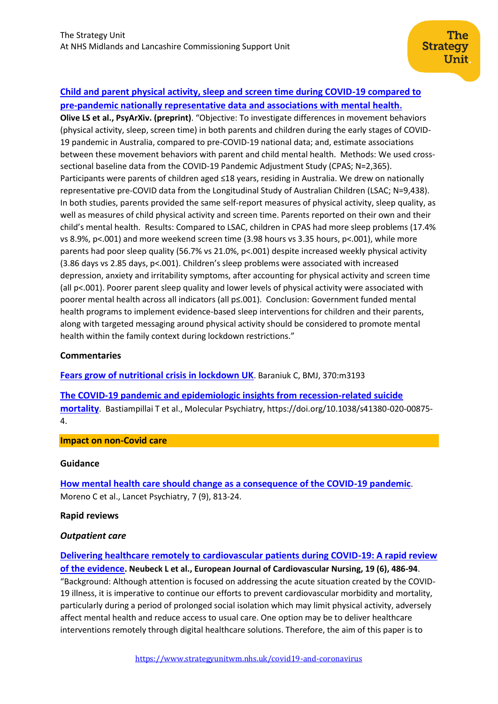# **[Child and parent physical activity, sleep and screen time during COVID-19 compared to](https://psyarxiv.com/anqct/)  [pre-pandemic nationally representative data and associations with mental health](https://psyarxiv.com/anqct/).**

**Olive LS et al., PsyArXiv. (preprint)**. "Objective: To investigate differences in movement behaviors (physical activity, sleep, screen time) in both parents and children during the early stages of COVID-19 pandemic in Australia, compared to pre-COVID-19 national data; and, estimate associations between these movement behaviors with parent and child mental health. Methods: We used crosssectional baseline data from the COVID-19 Pandemic Adjustment Study (CPAS; N=2,365). Participants were parents of children aged ≤18 years, residing in Australia. We drew on nationally representative pre-COVID data from the Longitudinal Study of Australian Children (LSAC; N=9,438). In both studies, parents provided the same self-report measures of physical activity, sleep quality, as well as measures of child physical activity and screen time. Parents reported on their own and their child's mental health. Results: Compared to LSAC, children in CPAS had more sleep problems (17.4% vs 8.9%, p<.001) and more weekend screen time (3.98 hours vs 3.35 hours, p<.001), while more parents had poor sleep quality (56.7% vs 21.0%, p<.001) despite increased weekly physical activity (3.86 days vs 2.85 days, p<.001). Children's sleep problems were associated with increased depression, anxiety and irritability symptoms, after accounting for physical activity and screen time (all p<.001). Poorer parent sleep quality and lower levels of physical activity were associated with poorer mental health across all indicators (all p≤.001). Conclusion: Government funded mental health programs to implement evidence-based sleep interventions for children and their parents, along with targeted messaging around physical activity should be considered to promote mental health within the family context during lockdown restrictions."

### **Commentaries**

**[Fears grow of nutritional crisis in lockdown UK](https://www.bmj.com/content/370/bmj.m3193)**. Baraniuk C, BMJ, 370:m3193

**[The COVID-19 pandemic and epidemiologic insights from recession-related suicide](https://www.nature.com/articles/s41380-020-00875-4)  [mortality](https://www.nature.com/articles/s41380-020-00875-4)**. Bastiampillai T et al., Molecular Psychiatry, https://doi.org/10.1038/s41380-020-00875- 4.

#### **Impact on non-Covid care**

#### **Guidance**

**[How mental health care should change as a consequence of the COVID-19 pandemic](https://www.thelancet.com/journals/lanpsy/article/PIIS2215-0366(20)30307-2/fulltext)**. Moreno C et al., Lancet Psychiatry, 7 (9), 813-24.

#### **Rapid reviews**

#### *Outpatient care*

**[Delivering healthcare remotely to cardiovascular patients during COVID-19: A rapid review](https://journals.sagepub.com/doi/pdf/10.1177/1474515120924530)  [of the evidence](https://journals.sagepub.com/doi/pdf/10.1177/1474515120924530). Neubeck L et al., European Journal of Cardiovascular Nursing, 19 (6), 486-94**. "Background: Although attention is focused on addressing the acute situation created by the COVID-19 illness, it is imperative to continue our efforts to prevent cardiovascular morbidity and mortality, particularly during a period of prolonged social isolation which may limit physical activity, adversely affect mental health and reduce access to usual care. One option may be to deliver healthcare interventions remotely through digital healthcare solutions. Therefore, the aim of this paper is to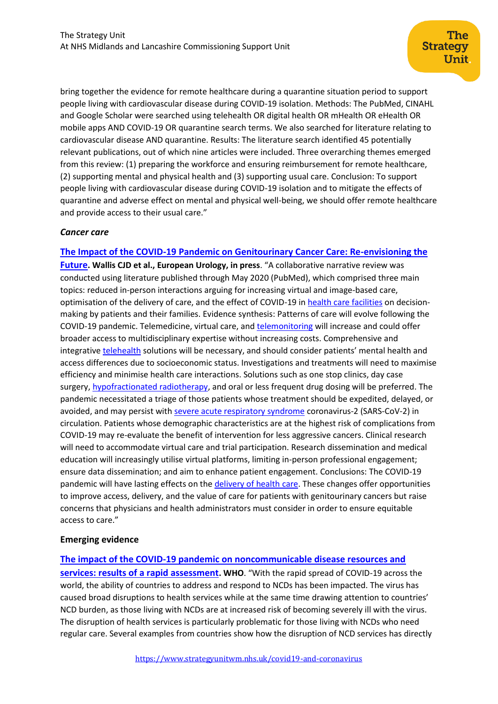bring together the evidence for remote healthcare during a quarantine situation period to support people living with cardiovascular disease during COVID-19 isolation. Methods: The PubMed, CINAHL and Google Scholar were searched using telehealth OR digital health OR mHealth OR eHealth OR mobile apps AND COVID-19 OR quarantine search terms. We also searched for literature relating to cardiovascular disease AND quarantine. Results: The literature search identified 45 potentially relevant publications, out of which nine articles were included. Three overarching themes emerged from this review: (1) preparing the workforce and ensuring reimbursement for remote healthcare, (2) supporting mental and physical health and (3) supporting usual care. Conclusion: To support people living with cardiovascular disease during COVID-19 isolation and to mitigate the effects of quarantine and adverse effect on mental and physical well-being, we should offer remote healthcare and provide access to their usual care."

### *Cancer care*

# **[The Impact of the COVID-19 Pandemic on Genitourinary Cancer Care: Re-envisioning the](https://www.sciencedirect.com/science/article/pii/S030228382030676X)**

**[Future](https://www.sciencedirect.com/science/article/pii/S030228382030676X). Wallis CJD et al., European Urology, in press**. "A collaborative narrative review was conducted using literature published through May 2020 (PubMed), which comprised three main topics: reduced in-person interactions arguing for increasing virtual and image-based care, optimisation of the delivery of care, and the effect of COVID-19 in [health care facilities](https://www.sciencedirect.com/topics/medicine-and-dentistry/health-care-facility) on decisionmaking by patients and their families. Evidence synthesis: Patterns of care will evolve following the COVID-19 pandemic. Telemedicine, virtual care, and [telemonitoring](https://www.sciencedirect.com/topics/medicine-and-dentistry/remote-patient-monitoring) will increase and could offer broader access to multidisciplinary expertise without increasing costs. Comprehensive and integrative [telehealth](https://www.sciencedirect.com/topics/medicine-and-dentistry/telehealth) solutions will be necessary, and should consider patients' mental health and access differences due to socioeconomic status. Investigations and treatments will need to maximise efficiency and minimise health care interactions. Solutions such as one stop clinics, day case surgery, [hypofractionated radiotherapy,](https://www.sciencedirect.com/topics/medicine-and-dentistry/hypofractionated-radiotherapy) and oral or less frequent drug dosing will be preferred. The pandemic necessitated a triage of those patients whose treatment should be expedited, delayed, or avoided, and may persist with [severe acute respiratory syndrome](https://www.sciencedirect.com/topics/medicine-and-dentistry/severe-acute-respiratory-syndrome) coronavirus-2 (SARS-CoV-2) in circulation. Patients whose demographic characteristics are at the highest risk of complications from COVID-19 may re-evaluate the benefit of intervention for less aggressive cancers. Clinical research will need to accommodate virtual care and trial participation. Research dissemination and medical education will increasingly utilise virtual platforms, limiting in-person professional engagement; ensure data dissemination; and aim to enhance patient engagement. Conclusions: The COVID-19 pandemic will have lasting effects on the [delivery of health care.](https://www.sciencedirect.com/topics/medicine-and-dentistry/delivery-of-health-care) These changes offer opportunities to improve access, delivery, and the value of care for patients with genitourinary cancers but raise concerns that physicians and health administrators must consider in order to ensure equitable access to care."

# **Emerging evidence**

# **[The impact of the COVID-19 pandemic on noncommunicable disease resources and](https://www.who.int/publications/i/item/ncds-covid-rapid-assessment)**

**[services: results of a rapid assessment](https://www.who.int/publications/i/item/ncds-covid-rapid-assessment). WHO**. "With the rapid spread of COVID-19 across the world, the ability of countries to address and respond to NCDs has been impacted. The virus has caused broad disruptions to health services while at the same time drawing attention to countries' NCD burden, as those living with NCDs are at increased risk of becoming severely ill with the virus. The disruption of health services is particularly problematic for those living with NCDs who need regular care. Several examples from countries show how the disruption of NCD services has directly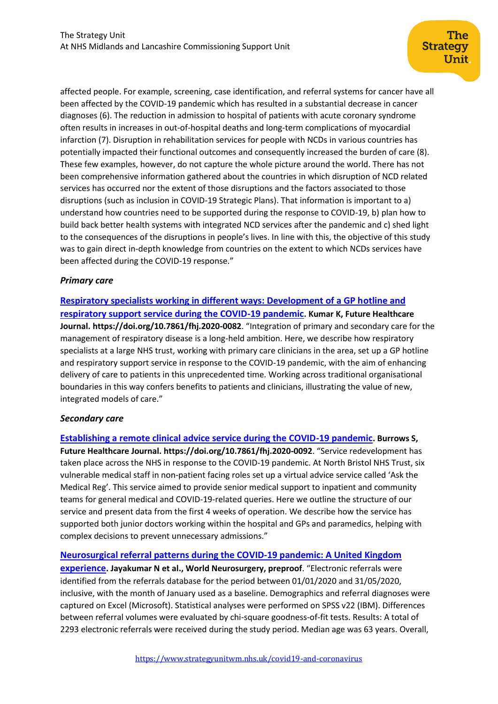affected people. For example, screening, case identification, and referral systems for cancer have all been affected by the COVID-19 pandemic which has resulted in a substantial decrease in cancer diagnoses (6). The reduction in admission to hospital of patients with acute coronary syndrome often results in increases in out-of-hospital deaths and long-term complications of myocardial infarction (7). Disruption in rehabilitation services for people with NCDs in various countries has potentially impacted their functional outcomes and consequently increased the burden of care (8). These few examples, however, do not capture the whole picture around the world. There has not been comprehensive information gathered about the countries in which disruption of NCD related services has occurred nor the extent of those disruptions and the factors associated to those disruptions (such as inclusion in COVID-19 Strategic Plans). That information is important to a) understand how countries need to be supported during the response to COVID-19, b) plan how to build back better health systems with integrated NCD services after the pandemic and c) shed light to the consequences of the disruptions in people's lives. In line with this, the objective of this study was to gain direct in-depth knowledge from countries on the extent to which NCDs services have been affected during the COVID-19 response."

# *Primary care*

**[Respiratory specialists working in different ways: Development of a GP hotline and](https://www.rcpjournals.org/content/futurehosp/early/2020/08/28/fhj.2020-0082?papetoc=)  [respiratory support service during the COVID-19 pandemic](https://www.rcpjournals.org/content/futurehosp/early/2020/08/28/fhj.2020-0082?papetoc=). Kumar K, Future Healthcare Journal. https://doi.org/10.7861/fhj.2020-0082**. "Integration of primary and secondary care for the management of respiratory disease is a long-held ambition. Here, we describe how respiratory specialists at a large NHS trust, working with primary care clinicians in the area, set up a GP hotline and respiratory support service in response to the COVID-19 pandemic, with the aim of enhancing delivery of care to patients in this unprecedented time. Working across traditional organisational boundaries in this way confers benefits to patients and clinicians, illustrating the value of new, integrated models of care."

# *Secondary care*

**[Establishing a remote clinical advice service during the COVID-19 pandemic](https://www.rcpjournals.org/content/futurehosp/early/2020/08/28/fhj.2020-0092?papetoc=). Burrows S, Future Healthcare Journal. https://doi.org/10.7861/fhj.2020-0092**. "Service redevelopment has taken place across the NHS in response to the COVID-19 pandemic. At North Bristol NHS Trust, six vulnerable medical staff in non-patient facing roles set up a virtual advice service called 'Ask the Medical Reg'. This service aimed to provide senior medical support to inpatient and community teams for general medical and COVID-19-related queries. Here we outline the structure of our service and present data from the first 4 weeks of operation. We describe how the service has supported both junior doctors working within the hospital and GPs and paramedics, helping with complex decisions to prevent unnecessary admissions."

# **[Neurosurgical referral patterns during the COVID-19 pandemic: A United Kingdom](https://www.sciencedirect.com/science/article/pii/S1878875020319318?via%3Dihub)**

**[experience](https://www.sciencedirect.com/science/article/pii/S1878875020319318?via%3Dihub). Jayakumar N et al., World Neurosurgery, preproof**. "Electronic referrals were identified from the referrals database for the period between 01/01/2020 and 31/05/2020, inclusive, with the month of January used as a baseline. Demographics and referral diagnoses were captured on Excel (Microsoft). Statistical analyses were performed on SPSS v22 (IBM). Differences between referral volumes were evaluated by chi-square goodness-of-fit tests. Results: A total of 2293 electronic referrals were received during the study period. Median age was 63 years. Overall,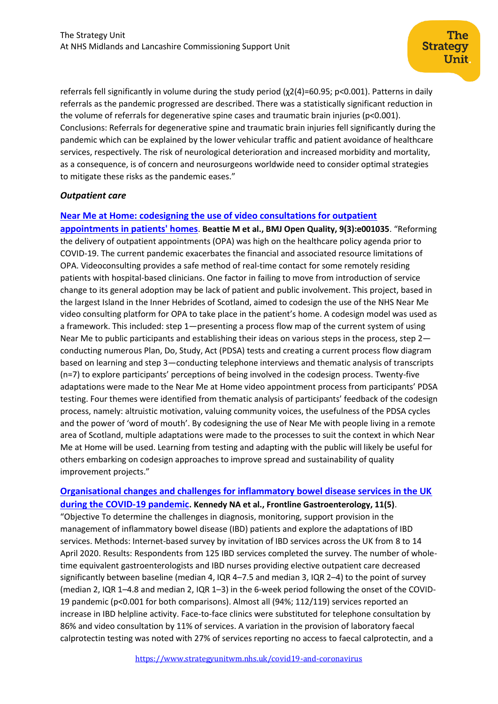referrals fell significantly in volume during the study period (χ2(4)=60.95; p<0.001). Patterns in daily referrals as the pandemic progressed are described. There was a statistically significant reduction in the volume of referrals for degenerative spine cases and traumatic brain injuries (p<0.001). Conclusions: Referrals for degenerative spine and traumatic brain injuries fell significantly during the pandemic which can be explained by the lower vehicular traffic and patient avoidance of healthcare services, respectively. The risk of neurological deterioration and increased morbidity and mortality, as a consequence, is of concern and neurosurgeons worldwide need to consider optimal strategies to mitigate these risks as the pandemic eases."

### *Outpatient care*

### **[Near Me at Home: codesigning the use of video consultations for outpatient](https://bmjopenquality.bmj.com/content/9/3/e001035.long)**

**[appointments in patients' homes](https://bmjopenquality.bmj.com/content/9/3/e001035.long)**. **Beattie M et al., BMJ Open Quality, 9(3):e001035**. "Reforming the delivery of outpatient appointments (OPA) was high on the healthcare policy agenda prior to COVID-19. The current pandemic exacerbates the financial and associated resource limitations of OPA. Videoconsulting provides a safe method of real-time contact for some remotely residing patients with hospital-based clinicians. One factor in failing to move from introduction of service change to its general adoption may be lack of patient and public involvement. This project, based in the largest Island in the Inner Hebrides of Scotland, aimed to codesign the use of the NHS Near Me video consulting platform for OPA to take place in the patient's home. A codesign model was used as a framework. This included: step 1—presenting a process flow map of the current system of using Near Me to public participants and establishing their ideas on various steps in the process, step 2 conducting numerous Plan, Do, Study, Act (PDSA) tests and creating a current process flow diagram based on learning and step 3—conducting telephone interviews and thematic analysis of transcripts (n=7) to explore participants' perceptions of being involved in the codesign process. Twenty-five adaptations were made to the Near Me at Home video appointment process from participants' PDSA testing. Four themes were identified from thematic analysis of participants' feedback of the codesign process, namely: altruistic motivation, valuing community voices, the usefulness of the PDSA cycles and the power of 'word of mouth'. By codesigning the use of Near Me with people living in a remote area of Scotland, multiple adaptations were made to the processes to suit the context in which Near Me at Home will be used. Learning from testing and adapting with the public will likely be useful for others embarking on codesign approaches to improve spread and sustainability of quality improvement projects."

# **[Organisational changes and challenges for inflammatory bowel disease services in the UK](https://fg.bmj.com/content/11/5/343)  [during the COVID-19 pandemic](https://fg.bmj.com/content/11/5/343). Kennedy NA et al., Frontline Gastroenterology, 11(5)**.

"Objective To determine the challenges in diagnosis, monitoring, support provision in the management of inflammatory bowel disease (IBD) patients and explore the adaptations of IBD services. Methods: Internet-based survey by invitation of IBD services across the UK from 8 to 14 April 2020. Results: Respondents from 125 IBD services completed the survey. The number of wholetime equivalent gastroenterologists and IBD nurses providing elective outpatient care decreased significantly between baseline (median 4, IQR 4–7.5 and median 3, IQR 2–4) to the point of survey (median 2, IQR 1–4.8 and median 2, IQR 1–3) in the 6-week period following the onset of the COVID-19 pandemic (p<0.001 for both comparisons). Almost all (94%; 112/119) services reported an increase in IBD helpline activity. Face-to-face clinics were substituted for telephone consultation by 86% and video consultation by 11% of services. A variation in the provision of laboratory faecal calprotectin testing was noted with 27% of services reporting no access to faecal calprotectin, and a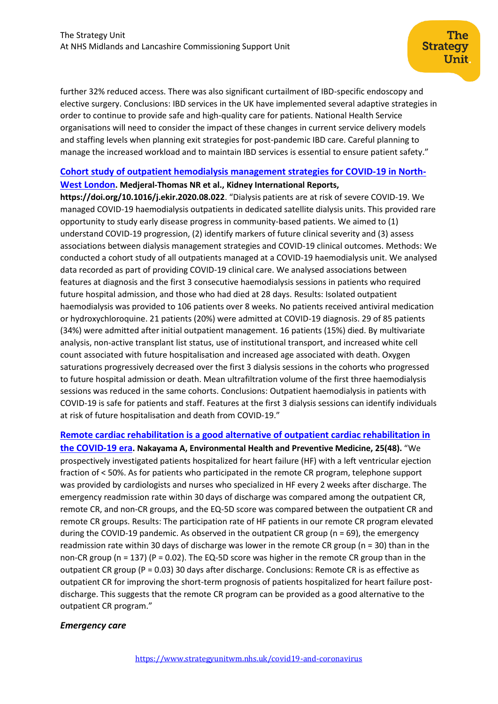further 32% reduced access. There was also significant curtailment of IBD-specific endoscopy and elective surgery. Conclusions: IBD services in the UK have implemented several adaptive strategies in order to continue to provide safe and high-quality care for patients. National Health Service organisations will need to consider the impact of these changes in current service delivery models and staffing levels when planning exit strategies for post-pandemic IBD care. Careful planning to manage the increased workload and to maintain IBD services is essential to ensure patient safety."

# **[Cohort study of outpatient hemodialysis management strategies for COVID-19 in North-](https://www.kireports.org/article/S2468-0249(20)31501-1/fulltext)**

#### **[West London](https://www.kireports.org/article/S2468-0249(20)31501-1/fulltext). Medjeral-Thomas NR et al., Kidney International Reports,**

**https://doi.org/10.1016/j.ekir.2020.08.022**. "Dialysis patients are at risk of severe COVID-19. We managed COVID-19 haemodialysis outpatients in dedicated satellite dialysis units. This provided rare opportunity to study early disease progress in community-based patients. We aimed to (1) understand COVID-19 progression, (2) identify markers of future clinical severity and (3) assess associations between dialysis management strategies and COVID-19 clinical outcomes. Methods: We conducted a cohort study of all outpatients managed at a COVID-19 haemodialysis unit. We analysed data recorded as part of providing COVID-19 clinical care. We analysed associations between features at diagnosis and the first 3 consecutive haemodialysis sessions in patients who required future hospital admission, and those who had died at 28 days. Results: Isolated outpatient haemodialysis was provided to 106 patients over 8 weeks. No patients received antiviral medication or hydroxychloroquine. 21 patients (20%) were admitted at COVID-19 diagnosis. 29 of 85 patients (34%) were admitted after initial outpatient management. 16 patients (15%) died. By multivariate analysis, non-active transplant list status, use of institutional transport, and increased white cell count associated with future hospitalisation and increased age associated with death. Oxygen saturations progressively decreased over the first 3 dialysis sessions in the cohorts who progressed to future hospital admission or death. Mean ultrafiltration volume of the first three haemodialysis sessions was reduced in the same cohorts. Conclusions: Outpatient haemodialysis in patients with COVID-19 is safe for patients and staff. Features at the first 3 dialysis sessions can identify individuals at risk of future hospitalisation and death from COVID-19."

**[Remote cardiac rehabilitation is a good alternative of outpatient cardiac rehabilitation in](https://environhealthprevmed.biomedcentral.com/articles/10.1186/s12199-020-00885-2)  [the COVID-19 era](https://environhealthprevmed.biomedcentral.com/articles/10.1186/s12199-020-00885-2). Nakayama A, Environmental Health and Preventive Medicine, 25(48).** "We prospectively investigated patients hospitalized for heart failure (HF) with a left ventricular ejection fraction of < 50%. As for patients who participated in the remote CR program, telephone support was provided by cardiologists and nurses who specialized in HF every 2 weeks after discharge. The emergency readmission rate within 30 days of discharge was compared among the outpatient CR, remote CR, and non-CR groups, and the EQ-5D score was compared between the outpatient CR and remote CR groups. Results: The participation rate of HF patients in our remote CR program elevated during the COVID-19 pandemic. As observed in the outpatient CR group (n = 69), the emergency readmission rate within 30 days of discharge was lower in the remote CR group (n = 30) than in the non-CR group (n = 137) (P = 0.02). The EQ-5D score was higher in the remote CR group than in the outpatient CR group (P = 0.03) 30 days after discharge. Conclusions: Remote CR is as effective as outpatient CR for improving the short-term prognosis of patients hospitalized for heart failure postdischarge. This suggests that the remote CR program can be provided as a good alternative to the outpatient CR program."

# *Emergency care*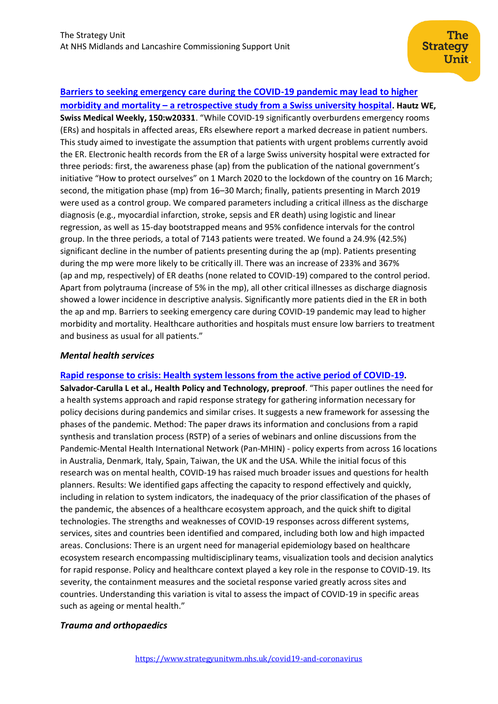### **[Barriers to seeking emergency care during the COVID-19 pandemic may lead to higher](https://smw.ch/article/doi/smw.2020.20331)**

**morbidity and mortality – [a retrospective study from a Swiss university hospital](https://smw.ch/article/doi/smw.2020.20331). Hautz WE, Swiss Medical Weekly, 150:w20331**. "While COVID-19 significantly overburdens emergency rooms (ERs) and hospitals in affected areas, ERs elsewhere report a marked decrease in patient numbers. This study aimed to investigate the assumption that patients with urgent problems currently avoid the ER. Electronic health records from the ER of a large Swiss university hospital were extracted for three periods: first, the awareness phase (ap) from the publication of the national government's initiative "How to protect ourselves" on 1 March 2020 to the lockdown of the country on 16 March; second, the mitigation phase (mp) from 16–30 March; finally, patients presenting in March 2019 were used as a control group. We compared parameters including a critical illness as the discharge diagnosis (e.g., myocardial infarction, stroke, sepsis and ER death) using logistic and linear regression, as well as 15-day bootstrapped means and 95% confidence intervals for the control group. In the three periods, a total of 7143 patients were treated. We found a 24.9% (42.5%) significant decline in the number of patients presenting during the ap (mp). Patients presenting during the mp were more likely to be critically ill. There was an increase of 233% and 367% (ap and mp, respectively) of ER deaths (none related to COVID-19) compared to the control period. Apart from polytrauma (increase of 5% in the mp), all other critical illnesses as discharge diagnosis showed a lower incidence in descriptive analysis. Significantly more patients died in the ER in both the ap and mp. Barriers to seeking emergency care during COVID-19 pandemic may lead to higher morbidity and mortality. Healthcare authorities and hospitals must ensure low barriers to treatment and business as usual for all patients."

#### *Mental health services*

#### **[Rapid response to crisis: Health system lessons from the active period of COVID-19](https://www.sciencedirect.com/science/article/pii/S2211883720300836?via%3Dihub).**

**Salvador-Carulla L et al., Health Policy and Technology, preproof**. "This paper outlines the need for a health systems approach and rapid response strategy for gathering information necessary for policy decisions during pandemics and similar crises. It suggests a new framework for assessing the phases of the pandemic. Method: The paper draws its information and conclusions from a rapid synthesis and translation process (RSTP) of a series of webinars and online discussions from the Pandemic-Mental Health International Network (Pan-MHIN) - policy experts from across 16 locations in Australia, Denmark, Italy, Spain, Taiwan, the UK and the USA. While the initial focus of this research was on mental health, COVID-19 has raised much broader issues and questions for health planners. Results: We identified gaps affecting the capacity to respond effectively and quickly, including in relation to system indicators, the inadequacy of the prior classification of the phases of the pandemic, the absences of a healthcare ecosystem approach, and the quick shift to digital technologies. The strengths and weaknesses of COVID-19 responses across different systems, services, sites and countries been identified and compared, including both low and high impacted areas. Conclusions: There is an urgent need for managerial epidemiology based on healthcare ecosystem research encompassing multidisciplinary teams, visualization tools and decision analytics for rapid response. Policy and healthcare context played a key role in the response to COVID-19. Its severity, the containment measures and the societal response varied greatly across sites and countries. Understanding this variation is vital to assess the impact of COVID-19 in specific areas such as ageing or mental health."

# *Trauma and orthopaedics*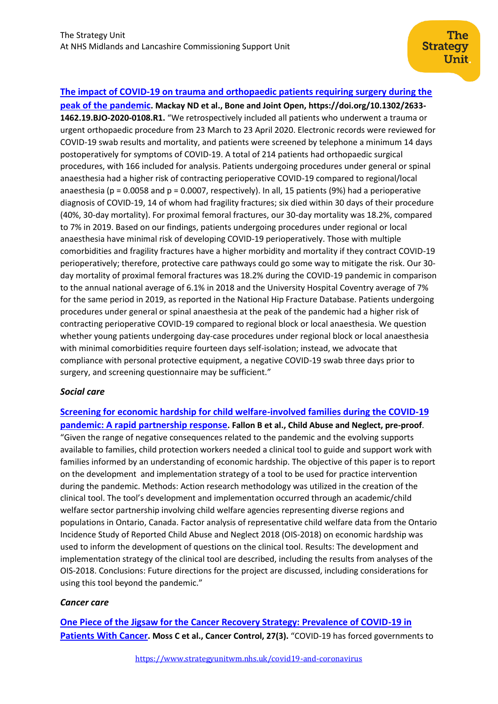# **[The impact of COVID-19 on trauma and orthopaedic patients requiring surgery during the](https://online.boneandjoint.org.uk/doi/full/10.1302/2633-1462.19.BJO-2020-0108.R1)**

**[peak of the pandemic](https://online.boneandjoint.org.uk/doi/full/10.1302/2633-1462.19.BJO-2020-0108.R1). Mackay ND et al., Bone and Joint Open, https://doi.org/10.1302/2633- 1462.19.BJO-2020-0108.R1.** "We retrospectively included all patients who underwent a trauma or urgent orthopaedic procedure from 23 March to 23 April 2020. Electronic records were reviewed for COVID-19 swab results and mortality, and patients were screened by telephone a minimum 14 days postoperatively for symptoms of COVID-19. A total of 214 patients had orthopaedic surgical procedures, with 166 included for analysis. Patients undergoing procedures under general or spinal anaesthesia had a higher risk of contracting perioperative COVID-19 compared to regional/local anaesthesia ( $p = 0.0058$  and  $p = 0.0007$ , respectively). In all, 15 patients (9%) had a perioperative diagnosis of COVID-19, 14 of whom had fragility fractures; six died within 30 days of their procedure (40%, 30-day mortality). For proximal femoral fractures, our 30-day mortality was 18.2%, compared to 7% in 2019. Based on our findings, patients undergoing procedures under regional or local anaesthesia have minimal risk of developing COVID-19 perioperatively. Those with multiple comorbidities and fragility fractures have a higher morbidity and mortality if they contract COVID-19 perioperatively; therefore, protective care pathways could go some way to mitigate the risk. Our 30 day mortality of proximal femoral fractures was 18.2% during the COVID-19 pandemic in comparison to the annual national average of 6.1% in 2018 and the University Hospital Coventry average of 7% for the same period in 2019, as reported in the National Hip Fracture Database. Patients undergoing procedures under general or spinal anaesthesia at the peak of the pandemic had a higher risk of contracting perioperative COVID-19 compared to regional block or local anaesthesia. We question whether young patients undergoing day-case procedures under regional block or local anaesthesia with minimal comorbidities require fourteen days self-isolation; instead, we advocate that compliance with personal protective equipment, a negative COVID-19 swab three days prior to surgery, and screening questionnaire may be sufficient."

#### *Social care*

**[Screening for economic hardship for child welfare-involved families during the COVID-19](https://www.sciencedirect.com/science/article/pii/S0145213420303616)  pandemic: A [rapid partnership response](https://www.sciencedirect.com/science/article/pii/S0145213420303616). Fallon B et al., Child Abuse and Neglect, pre-proof**. "Given the range of negative consequences related to the pandemic and the evolving supports available to families, child protection workers needed a clinical tool to guide and support work with families informed by an understanding of economic hardship. The objective of this paper is to report on the development and implementation strategy of a tool to be used for practice intervention during the pandemic. Methods: Action research methodology was utilized in the creation of the clinical tool. The tool's development and implementation occurred through an academic/child welfare sector partnership involving child welfare agencies representing diverse regions and populations in Ontario, Canada. Factor analysis of representative child welfare data from the Ontario Incidence Study of Reported Child Abuse and Neglect 2018 (OIS-2018) on economic hardship was used to inform the development of questions on the clinical tool. Results: The development and implementation strategy of the clinical tool are described, including the results from analyses of the OIS-2018. Conclusions: Future directions for the project are discussed, including considerations for using this tool beyond the pandemic."

#### *Cancer care*

**[One Piece of the Jigsaw for the Cancer Recovery Strategy: Prevalence of COVID-19 in](https://journals.sagepub.com/doi/10.1177/1073274820950844)  [Patients With Cancer](https://journals.sagepub.com/doi/10.1177/1073274820950844). Moss C et al., Cancer Control, 27(3).** "COVID-19 has forced governments to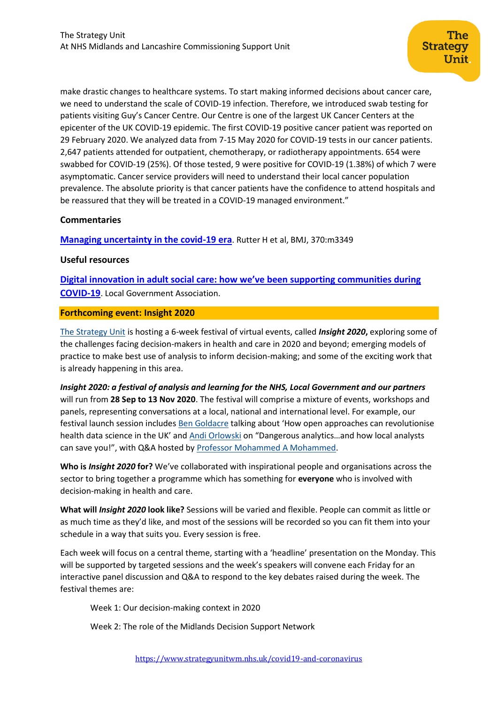make drastic changes to healthcare systems. To start making informed decisions about cancer care, we need to understand the scale of COVID-19 infection. Therefore, we introduced swab testing for patients visiting Guy's Cancer Centre. Our Centre is one of the largest UK Cancer Centers at the epicenter of the UK COVID-19 epidemic. The first COVID-19 positive cancer patient was reported on 29 February 2020. We analyzed data from 7-15 May 2020 for COVID-19 tests in our cancer patients. 2,647 patients attended for outpatient, chemotherapy, or radiotherapy appointments. 654 were swabbed for COVID-19 (25%). Of those tested, 9 were positive for COVID-19 (1.38%) of which 7 were asymptomatic. Cancer service providers will need to understand their local cancer population prevalence. The absolute priority is that cancer patients have the confidence to attend hospitals and be reassured that they will be treated in a COVID-19 managed environment."

### **Commentaries**

**[Managing uncertainty in the covid-19 era](https://www.bmj.com/content/370/bmj.m3349)**. Rutter H et al, BMJ, 370:m3349

#### **Useful resources**

**[Digital innovation in adult social care: how we've been supporting communities during](https://www.local.gov.uk/digital-innovation-adult-social-care-how-weve-been-supporting-communities-during-covid-19)  [COVID-19](https://www.local.gov.uk/digital-innovation-adult-social-care-how-weve-been-supporting-communities-during-covid-19)**. Local Government Association.

### **Forthcoming event: Insight 2020**

[The Strategy Unit](https://www.strategyunitwm.nhs.uk/) is hosting a 6-week festival of virtual events, called *Insight 2020***,** exploring some of the challenges facing decision-makers in health and care in 2020 and beyond; emerging models of practice to make best use of analysis to inform decision-making; and some of the exciting work that is already happening in this area.

*Insight 2020: a festival of analysis and learning for the NHS, Local Government and our partners*  will run from **28 Sep to 13 Nov 2020**. The festival will comprise a mixture of events, workshops and panels, representing conversations at a local, national and international level. For example, our festival launch session includes [Ben Goldacre](https://www.phc.ox.ac.uk/team/ben-goldacre) talking about 'How open approaches can revolutionise health data science in the UK' and [Andi Orlowski](https://imperialcollegehealthpartners.com/staff/andi-orlowski/) on "Dangerous analytics…and how local analysts can save you!", with Q&A hosted by [Professor Mohammed A Mohammed.](https://www.strategyunitwm.nhs.uk/author/mohammed-amin-mohammed)

**Who is** *Insight 2020* **for?** We've collaborated with inspirational people and organisations across the sector to bring together a programme which has something for **everyone** who is involved with decision-making in health and care.

**What will** *Insight 2020* **look like?** Sessions will be varied and flexible. People can commit as little or as much time as they'd like, and most of the sessions will be recorded so you can fit them into your schedule in a way that suits you. Every session is free.

Each week will focus on a central theme, starting with a 'headline' presentation on the Monday. This will be supported by targeted sessions and the week's speakers will convene each Friday for an interactive panel discussion and Q&A to respond to the key debates raised during the week. The festival themes are:

Week 1: Our decision-making context in 2020

Week 2: The role of the Midlands Decision Support Network